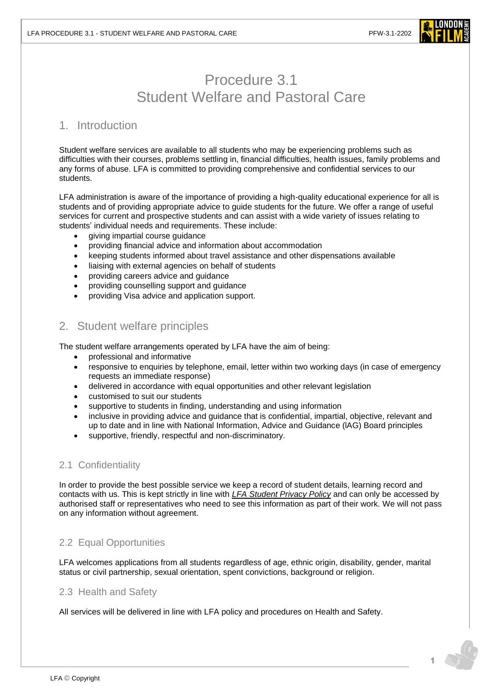

# Procedure 3.1 Student Welfare and Pastoral Care

# 1. Introduction

Student welfare services are available to all students who may be experiencing problems such as difficulties with their courses, problems settling in, financial difficulties, health issues, family problems and any forms of abuse. LFA is committed to providing comprehensive and confidential services to our students.

LFA administration is aware of the importance of providing a high-quality educational experience for all is students and of providing appropriate advice to guide students for the future. We offer a range of useful services for current and prospective students and can assist with a wide variety of issues relating to students' individual needs and requirements. These include:

- giving impartial course guidance
- providing financial advice and information about accommodation
- keeping students informed about travel assistance and other dispensations available
- liaising with external agencies on behalf of students
- providing careers advice and guidance
- providing counselling support and guidance
- providing Visa advice and application support.

# 2. Student welfare principles

The student welfare arrangements operated by LFA have the aim of being:

- professional and informative
- responsive to enquiries by telephone, email, letter within two working days (in case of emergency requests an immediate response)
- delivered in accordance with equal opportunities and other relevant legislation
- customised to suit our students
- supportive to students in finding, understanding and using information
- inclusive in providing advice and guidance that is confidential, impartial, objective, relevant and up to date and in line with National Information, Advice and Guidance (lAG) Board principles
- supportive, friendly, respectful and non-discriminatory.

# 2.1 Confidentiality

In order to provide the best possible service we keep a record of student details, learning record and contacts with us. This is kept strictly in line with *[LFA Student Privacy Policy](https://www.londonfilmacademy.com/LFA-Privacy-Policy)* and can only be accessed by authorised staff or representatives who need to see this information as part of their work. We will not pass on any information without agreement.

# 2.2 Equal Opportunities

LFA welcomes applications from all students regardless of age, ethnic origin, disability, gender, marital status or civil partnership, sexual orientation, spent convictions, background or religion.

# 2.3 Health and Safety

All services will be delivered in line with LFA policy and procedures on Health and Safety.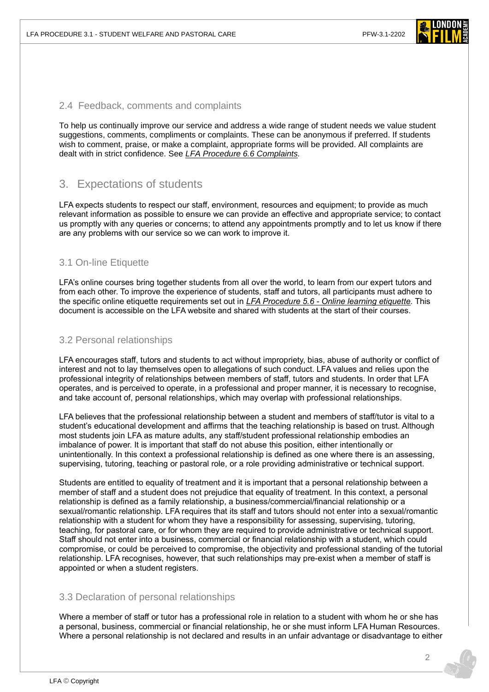

#### 2.4 Feedback, comments and complaints

To help us continually improve our service and address a wide range of student needs we value student suggestions, comments, compliments or complaints. These can be anonymous if preferred. If students wish to comment, praise, or make a complaint, appropriate forms will be provided. All complaints are dealt with in strict confidence. See *[LFA Procedure 6.6](https://www.londonfilmacademy.com/LFA_Procedure_6.6_Complaints) Complaints.*

# 3. Expectations of students

LFA expects students to respect our staff, environment, resources and equipment; to provide as much relevant information as possible to ensure we can provide an effective and appropriate service; to contact us promptly with any queries or concerns; to attend any appointments promptly and to let us know if there are any problems with our service so we can work to improve it.

## 3.1 On-line Etiquette

LFA's online courses bring together students from all over the world, to learn from our expert tutors and from each other. To improve the experience of students, staff and tutors, all participants must adhere to the specific online etiquette requirements set out in *LFA Procedure 5.6 - [Online learning etiquette.](https://www.londonfilmacademy.com/LFA_Procedure_5.3_Online_learning_etiquette.pdf)* This document is accessible on the LFA website and shared with students at the start of their courses.

#### 3.2 Personal relationships

LFA encourages staff, tutors and students to act without impropriety, bias, abuse of authority or conflict of interest and not to lay themselves open to allegations of such conduct. LFA values and relies upon the professional integrity of relationships between members of staff, tutors and students. In order that LFA operates, and is perceived to operate, in a professional and proper manner, it is necessary to recognise, and take account of, personal relationships, which may overlap with professional relationships.

LFA believes that the professional relationship between a student and members of staff/tutor is vital to a student's educational development and affirms that the teaching relationship is based on trust. Although most students join LFA as mature adults, any staff/student professional relationship embodies an imbalance of power. It is important that staff do not abuse this position, either intentionally or unintentionally. In this context a professional relationship is defined as one where there is an assessing, supervising, tutoring, teaching or pastoral role, or a role providing administrative or technical support.

Students are entitled to equality of treatment and it is important that a personal relationship between a member of staff and a student does not prejudice that equality of treatment. In this context, a personal relationship is defined as a family relationship, a business/commercial/financial relationship or a sexual/romantic relationship. LFA requires that its staff and tutors should not enter into a sexual/romantic relationship with a student for whom they have a responsibility for assessing, supervising, tutoring, teaching, for pastoral care, or for whom they are required to provide administrative or technical support. Staff should not enter into a business, commercial or financial relationship with a student, which could compromise, or could be perceived to compromise, the objectivity and professional standing of the tutorial relationship. LFA recognises, however, that such relationships may pre-exist when a member of staff is appointed or when a student registers.

#### 3.3 Declaration of personal relationships

Where a member of staff or tutor has a professional role in relation to a student with whom he or she has a personal, business, commercial or financial relationship, he or she must inform LFA Human Resources. Where a personal relationship is not declared and results in an unfair advantage or disadvantage to either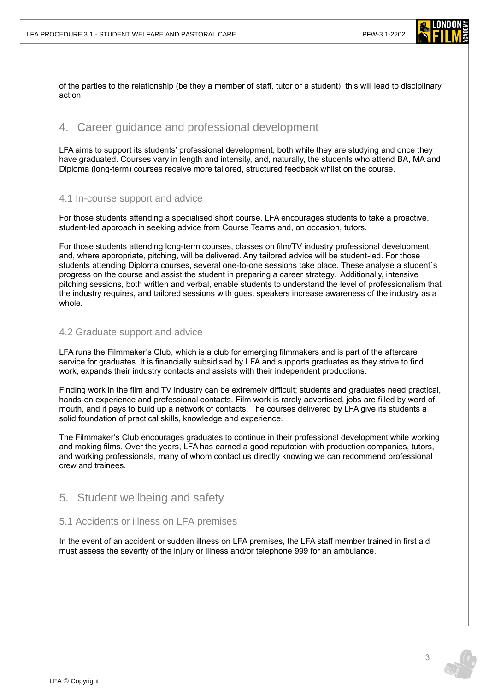

of the parties to the relationship (be they a member of staff, tutor or a student), this will lead to disciplinary action.

# 4. Career guidance and professional development

LFA aims to support its students' professional development, both while they are studying and once they have graduated. Courses vary in length and intensity, and, naturally, the students who attend BA, MA and Diploma (long-term) courses receive more tailored, structured feedback whilst on the course.

# 4.1 In-course support and advice

For those students attending a specialised short course, LFA encourages students to take a proactive, student-led approach in seeking advice from Course Teams and, on occasion, tutors.

For those students attending long-term courses, classes on film/TV industry professional development, and, where appropriate, pitching, will be delivered. Any tailored advice will be student-led. For those students attending Diploma courses, several one-to-one sessions take place. These analyse a student`s progress on the course and assist the student in preparing a career strategy. Additionally, intensive pitching sessions, both written and verbal, enable students to understand the level of professionalism that the industry requires, and tailored sessions with guest speakers increase awareness of the industry as a whole.

## 4.2 Graduate support and advice

LFA runs the Filmmaker's Club, which is a club for emerging filmmakers and is part of the aftercare service for graduates. It is financially subsidised by LFA and supports graduates as they strive to find work, expands their industry contacts and assists with their independent productions.

Finding work in the film and TV industry can be extremely difficult; students and graduates need practical, hands-on experience and professional contacts. Film work is rarely advertised, jobs are filled by word of mouth, and it pays to build up a network of contacts. The courses delivered by LFA give its students a solid foundation of practical skills, knowledge and experience.

The Filmmaker's Club encourages graduates to continue in their professional development while working and making films. Over the years, LFA has earned a good reputation with production companies, tutors, and working professionals, many of whom contact us directly knowing we can recommend professional crew and trainees.

# 5. Student wellbeing and safety

# 5.1 Accidents or illness on LFA premises

In the event of an accident or sudden illness on LFA premises, the LFA staff member trained in first aid must assess the severity of the injury or illness and/or telephone 999 for an ambulance.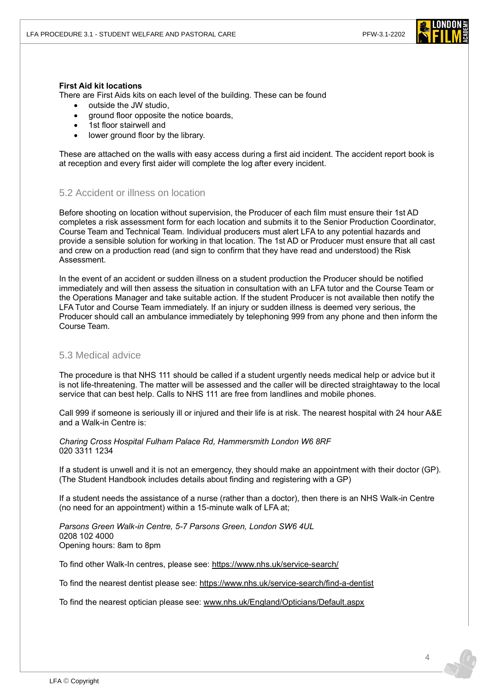

#### **First Aid kit locations**

There are First Aids kits on each level of the building. These can be found

- outside the JW studio,
- ground floor opposite the notice boards,
- 1st floor stairwell and
- lower ground floor by the library.

These are attached on the walls with easy access during a first aid incident. The accident report book is at reception and every first aider will complete the log after every incident.

## 5.2 Accident or illness on location

Before shooting on location without supervision, the Producer of each film must ensure their 1st AD completes a risk assessment form for each location and submits it to the Senior Production Coordinator, Course Team and Technical Team. Individual producers must alert LFA to any potential hazards and provide a sensible solution for working in that location. The 1st AD or Producer must ensure that all cast and crew on a production read (and sign to confirm that they have read and understood) the Risk Assessment.

In the event of an accident or sudden illness on a student production the Producer should be notified immediately and will then assess the situation in consultation with an LFA tutor and the Course Team or the Operations Manager and take suitable action. If the student Producer is not available then notify the LFA Tutor and Course Team immediately. If an injury or sudden illness is deemed very serious, the Producer should call an ambulance immediately by telephoning 999 from any phone and then inform the Course Team.

# 5.3 Medical advice

The procedure is that NHS 111 should be called if a student urgently needs medical help or advice but it is not life-threatening. The matter will be assessed and the caller will be directed straightaway to the local service that can best help. Calls to NHS 111 are free from landlines and mobile phones.

Call 999 if someone is seriously ill or injured and their life is at risk. The nearest hospital with 24 hour A&E and a Walk-in Centre is:

*Charing Cross Hospital Fulham Palace Rd, Hammersmith London W6 8RF* 020 3311 1234

If a student is unwell and it is not an emergency, they should make an appointment with their doctor (GP). (The Student Handbook includes details about finding and registering with a GP)

If a student needs the assistance of a nurse (rather than a doctor), then there is an NHS Walk-in Centre (no need for an appointment) within a 15-minute walk of LFA at;

*Parsons Green Walk-in Centre, 5-7 Parsons Green, London SW6 4UL* 0208 102 4000 Opening hours: 8am to 8pm

To find other Walk-In centres, please see: <https://www.nhs.uk/service-search/>

To find the nearest dentist please see:<https://www.nhs.uk/service-search/find-a-dentist>

To find the nearest optician please see: [www.nhs.uk/England/Opticians/Default.aspx](http://www.nhs.uk/England/Opticians/Default.aspx)